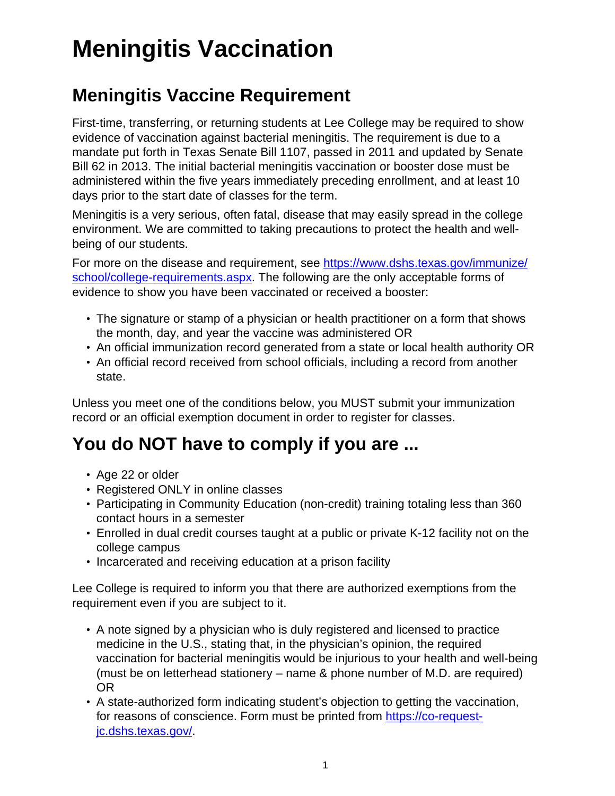# **Meningitis Vaccination**

### **Meningitis Vaccine Requirement**

First-time, transferring, or returning students at Lee College may be required to show evidence of vaccination against bacterial meningitis. The requirement is due to a mandate put forth in Texas Senate Bill 1107, passed in 2011 and updated by Senate Bill 62 in 2013. The initial bacterial meningitis vaccination or booster dose must be administered within the five years immediately preceding enrollment, and at least 10 days prior to the start date of classes for the term.

Meningitis is a very serious, often fatal, disease that may easily spread in the college environment. We are committed to taking precautions to protect the health and wellbeing of our students.

For more on the disease and requirement, see [https://www.dshs.texas.gov/immunize/](https://www.dshs.texas.gov/immunize/school/college-requirements.aspx) [school/college-requirements.aspx.](https://www.dshs.texas.gov/immunize/school/college-requirements.aspx) The following are the only acceptable forms of evidence to show you have been vaccinated or received a booster:

- The signature or stamp of a physician or health practitioner on a form that shows the month, day, and year the vaccine was administered OR
- An official immunization record generated from a state or local health authority OR
- An official record received from school officials, including a record from another state.

Unless you meet one of the conditions below, you MUST submit your immunization record or an official exemption document in order to register for classes.

## **You do NOT have to comply if you are ...**

- Age 22 or older
- Registered ONLY in online classes
- Participating in Community Education (non-credit) training totaling less than 360 contact hours in a semester
- Enrolled in dual credit courses taught at a public or private K-12 facility not on the college campus
- Incarcerated and receiving education at a prison facility

Lee College is required to inform you that there are authorized exemptions from the requirement even if you are subject to it.

- A note signed by a physician who is duly registered and licensed to practice medicine in the U.S., stating that, in the physician's opinion, the required vaccination for bacterial meningitis would be injurious to your health and well-being (must be on letterhead stationery – name & phone number of M.D. are required) OR
- A state-authorized form indicating student's objection to getting the vaccination, for reasons of conscience. Form must be printed from [https://co-request](https://co-request-jc.dshs.texas.gov/)[jc.dshs.texas.gov/](https://co-request-jc.dshs.texas.gov/).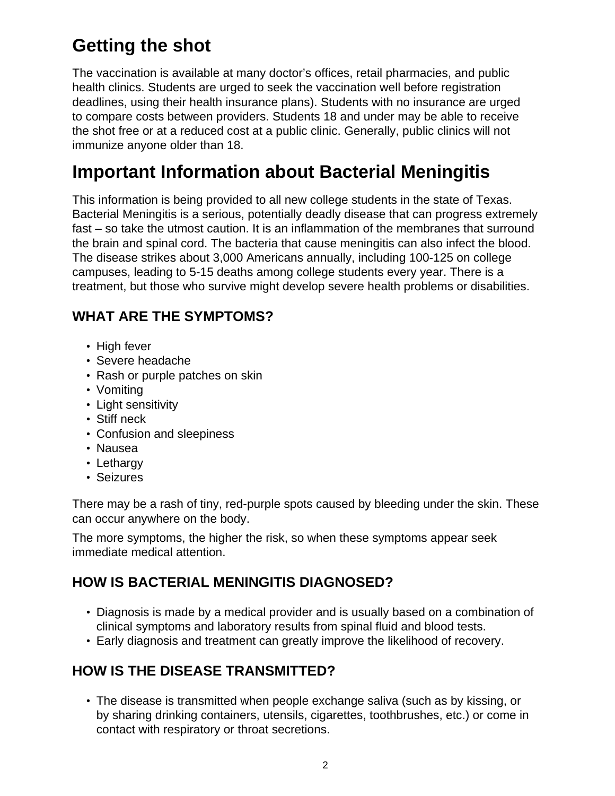## **Getting the shot**

The vaccination is available at many doctor's offices, retail pharmacies, and public health clinics. Students are urged to seek the vaccination well before registration deadlines, using their health insurance plans). Students with no insurance are urged to compare costs between providers. Students 18 and under may be able to receive the shot free or at a reduced cost at a public clinic. Generally, public clinics will not immunize anyone older than 18.

### **Important Information about Bacterial Meningitis**

This information is being provided to all new college students in the state of Texas. Bacterial Meningitis is a serious, potentially deadly disease that can progress extremely fast – so take the utmost caution. It is an inflammation of the membranes that surround the brain and spinal cord. The bacteria that cause meningitis can also infect the blood. The disease strikes about 3,000 Americans annually, including 100-125 on college campuses, leading to 5-15 deaths among college students every year. There is a treatment, but those who survive might develop severe health problems or disabilities.

### **WHAT ARE THE SYMPTOMS?**

- High fever
- Severe headache
- Rash or purple patches on skin
- Vomiting
- Light sensitivity
- Stiff neck
- Confusion and sleepiness
- Nausea
- Lethargy
- Seizures

There may be a rash of tiny, red-purple spots caused by bleeding under the skin. These can occur anywhere on the body.

The more symptoms, the higher the risk, so when these symptoms appear seek immediate medical attention.

### **HOW IS BACTERIAL MENINGITIS DIAGNOSED?**

- Diagnosis is made by a medical provider and is usually based on a combination of clinical symptoms and laboratory results from spinal fluid and blood tests.
- Early diagnosis and treatment can greatly improve the likelihood of recovery.

### **HOW IS THE DISEASE TRANSMITTED?**

• The disease is transmitted when people exchange saliva (such as by kissing, or by sharing drinking containers, utensils, cigarettes, toothbrushes, etc.) or come in contact with respiratory or throat secretions.